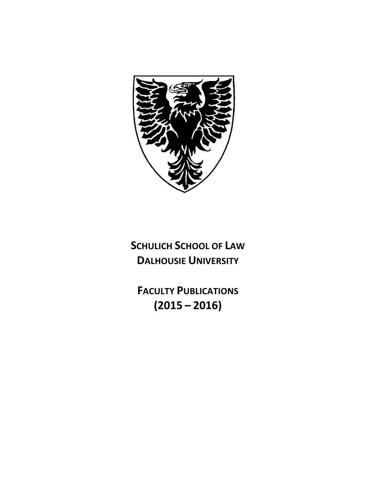

**SCHULICH SCHOOL OF LAW DALHOUSIE UNIVERSITY** 

**FACULTY PUBLICATIONS (2015 – 2016)**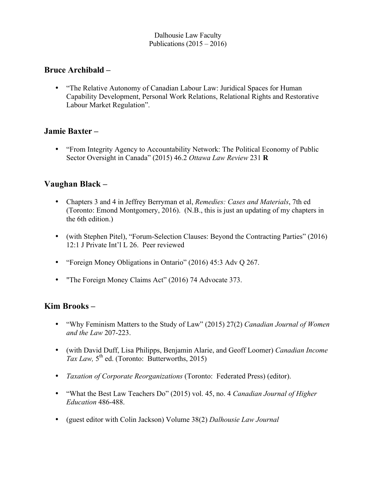Dalhousie Law Faculty Publications  $(2015 - 2016)$ 

#### **Bruce Archibald –**

• "The Relative Autonomy of Canadian Labour Law: Juridical Spaces for Human Capability Development, Personal Work Relations, Relational Rights and Restorative Labour Market Regulation".

#### **Jamie Baxter –**

• "From Integrity Agency to Accountability Network: The Political Economy of Public Sector Oversight in Canada" (2015) 46.2 *Ottawa Law Review* 231 **R**

#### **Vaughan Black –**

- Chapters 3 and 4 in Jeffrey Berryman et al, *Remedies: Cases and Materials*, 7th ed (Toronto: Emond Montgomery, 2016). (N.B., this is just an updating of my chapters in the 6th edition.)
- (with Stephen Pitel), "Forum-Selection Clauses: Beyond the Contracting Parties" (2016) 12:1 J Private Int'l L 26. Peer reviewed
- "Foreign Money Obligations in Ontario" (2016) 45:3 Adv Q 267.
- "The Foreign Money Claims Act" (2016) 74 Advocate 373.

#### **Kim Brooks –**

- "Why Feminism Matters to the Study of Law" (2015) 27(2) *Canadian Journal of Women and the Law* 207-223.
- (with David Duff, Lisa Philipps, Benjamin Alarie, and Geoff Loomer) *Canadian Income Tax Law,*  $5^{th}$  ed. (Toronto: Butterworths, 2015)
- *Taxation of Corporate Reorganizations* (Toronto: Federated Press) (editor).
- "What the Best Law Teachers Do" (2015) vol. 45, no. 4 *Canadian Journal of Higher Education* 486-488.
- (guest editor with Colin Jackson) Volume 38(2) *Dalhousie Law Journal*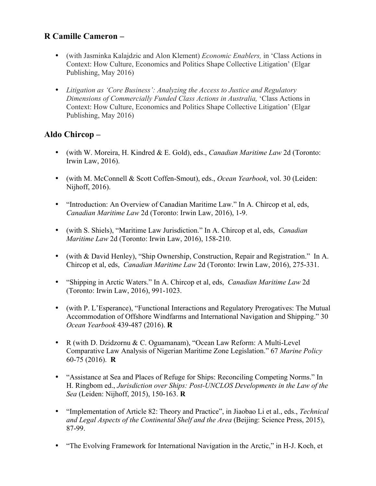### **R Camille Cameron –**

- (with Jasminka Kalajdzic and Alon Klement) *Economic Enablers,* in 'Class Actions in Context: How Culture, Economics and Politics Shape Collective Litigation' (Elgar Publishing, May 2016)
- *Litigation as 'Core Business': Analyzing the Access to Justice and Regulatory Dimensions of Commercially Funded Class Actions in Australia,* 'Class Actions in Context: How Culture, Economics and Politics Shape Collective Litigation' (Elgar Publishing, May 2016)

# **Aldo Chircop –**

- (with W. Moreira, H. Kindred & E. Gold), eds., *Canadian Maritime Law* 2d (Toronto: Irwin Law, 2016).
- (with M. McConnell & Scott Coffen-Smout), eds., *Ocean Yearbook*, vol. 30 (Leiden: Nijhoff, 2016).
- "Introduction: An Overview of Canadian Maritime Law." In A. Chircop et al, eds, *Canadian Maritime Law* 2d (Toronto: Irwin Law, 2016), 1-9.
- (with S. Shiels), "Maritime Law Jurisdiction." In A. Chircop et al, eds, *Canadian Maritime Law* 2d (Toronto: Irwin Law, 2016), 158-210.
- (with & David Henley), "Ship Ownership, Construction, Repair and Registration." In A. Chircop et al, eds, *Canadian Maritime Law* 2d (Toronto: Irwin Law, 2016), 275-331.
- "Shipping in Arctic Waters." In A. Chircop et al, eds, *Canadian Maritime Law* 2d (Toronto: Irwin Law, 2016), 991-1023.
- (with P. L'Esperance), "Functional Interactions and Regulatory Prerogatives: The Mutual Accommodation of Offshore Windfarms and International Navigation and Shipping." 30 *Ocean Yearbook* 439-487 (2016). **R**
- R (with D. Dzidzornu & C. Oguamanam), "Ocean Law Reform: A Multi-Level Comparative Law Analysis of Nigerian Maritime Zone Legislation." 67 *Marine Policy* 60-75 (2016). **R**
- "Assistance at Sea and Places of Refuge for Ships: Reconciling Competing Norms." In H. Ringbom ed., *Jurisdiction over Ships: Post-UNCLOS Developments in the Law of the Sea* (Leiden: Nijhoff, 2015), 150-163. **R**
- "Implementation of Article 82: Theory and Practice", in Jiaobao Li et al., eds., *Technical and Legal Aspects of the Continental Shelf and the Area* (Beijing: Science Press, 2015), 87-99.
- "The Evolving Framework for International Navigation in the Arctic," in H-J. Koch, et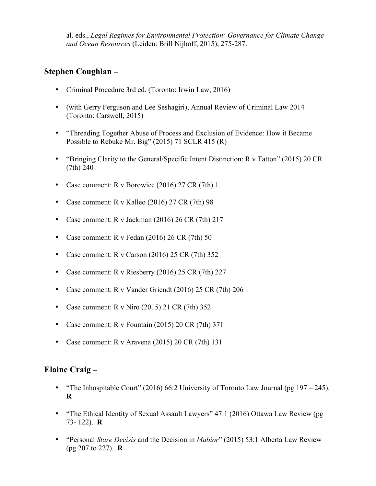al. eds., *Legal Regimes for Environmental Protection: Governance for Climate Change and Ocean Resources* (Leiden: Brill Nijhoff, 2015), 275-287.

#### **Stephen Coughlan –**

- Criminal Procedure 3rd ed. (Toronto: Irwin Law, 2016)
- (with Gerry Ferguson and Lee Seshagiri), Annual Review of Criminal Law 2014 (Toronto: Carswell, 2015)
- "Threading Together Abuse of Process and Exclusion of Evidence: How it Became Possible to Rebuke Mr. Big" (2015) 71 SCLR 415 (R)
- "Bringing Clarity to the General/Specific Intent Distinction: R v Tatton" (2015) 20 CR (7th) 240
- Case comment: R v Borowiec (2016) 27 CR (7th) 1
- Case comment: R v Kalleo (2016) 27 CR (7th) 98
- Case comment: R v Jackman (2016) 26 CR (7th) 217
- Case comment: R v Fedan (2016) 26 CR (7th) 50
- Case comment: R v Carson (2016) 25 CR (7th) 352
- Case comment: R v Riesberry (2016) 25 CR (7th) 227
- Case comment: R v Vander Griendt (2016) 25 CR (7th) 206
- Case comment:  $R \text{ v Niro } (2015)$  21 CR  $(7th)$  352
- Case comment: R v Fountain (2015) 20 CR (7th) 371
- Case comment: R v Aravena (2015) 20 CR (7th) 131

### **Elaine Craig –**

- "The Inhospitable Court" (2016) 66:2 University of Toronto Law Journal (pg 197 245). **R**
- "The Ethical Identity of Sexual Assault Lawyers" 47:1 (2016) Ottawa Law Review (pg 73- 122). **R**
- "Personal *Stare Decisis* and the Decision in *Mabior*" (2015) 53:1 Alberta Law Review (pg 207 to 227). **R**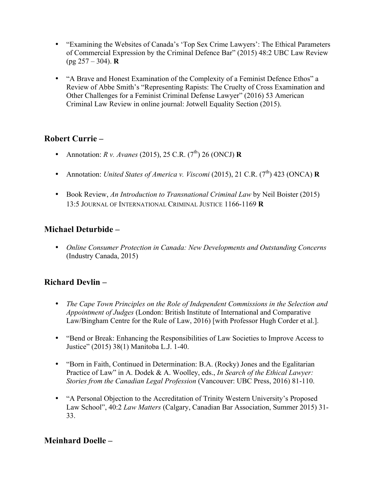- "Examining the Websites of Canada's 'Top Sex Crime Lawyers': The Ethical Parameters of Commercial Expression by the Criminal Defence Bar" (2015) 48:2 UBC Law Review (pg 257 – 304). **R**
- "A Brave and Honest Examination of the Complexity of a Feminist Defence Ethos" a Review of Abbe Smith's "Representing Rapists: The Cruelty of Cross Examination and Other Challenges for a Feminist Criminal Defense Lawyer" (2016) 53 American Criminal Law Review in online journal: Jotwell Equality Section (2015).

# **Robert Currie –**

- Annotation: *R v. Avanes* (2015), 25 C.R. (7<sup>th</sup>) 26 (ONCJ) **R**
- Annotation: *United States of America v. Viscomi* (2015), 21 C.R. (7<sup>th</sup>) 423 (ONCA) **R**
- Book Review, *An Introduction to Transnational Criminal Law* by Neil Boister (2015) 13:5 JOURNAL OF INTERNATIONAL CRIMINAL JUSTICE 1166-1169 **R**

### **Michael Deturbide –**

• *Online Consumer Protection in Canada: New Developments and Outstanding Concerns*  (Industry Canada, 2015)

# **Richard Devlin –**

- *The Cape Town Principles on the Role of Independent Commissions in the Selection and Appointment of Judges* (London: British Institute of International and Comparative Law/Bingham Centre for the Rule of Law, 2016) [with Professor Hugh Corder et al.].
- "Bend or Break: Enhancing the Responsibilities of Law Societies to Improve Access to Justice" (2015) 38(1) Manitoba L.J. 1-40.
- "Born in Faith, Continued in Determination: B.A. (Rocky) Jones and the Egalitarian Practice of Law" in A. Dodek & A. Woolley, eds., *In Search of the Ethical Lawyer: Stories from the Canadian Legal Profession* (Vancouver: UBC Press, 2016) 81-110.
- "A Personal Objection to the Accreditation of Trinity Western University's Proposed Law School", 40:2 *Law Matters* (Calgary, Canadian Bar Association, Summer 2015) 31- 33.

# **Meinhard Doelle –**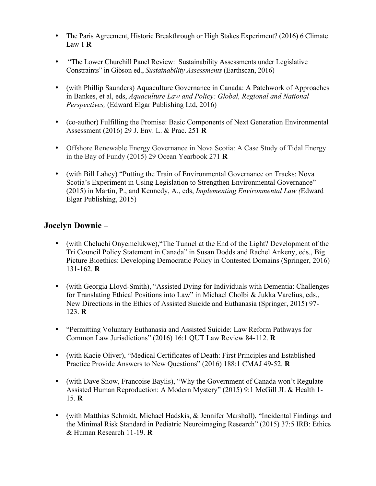- The Paris Agreement, Historic Breakthrough or High Stakes Experiment? (2016) 6 Climate Law 1 **R**
- "The Lower Churchill Panel Review: Sustainability Assessments under Legislative Constraints" in Gibson ed., *Sustainability Assessments* (Earthscan, 2016)
- (with Phillip Saunders) Aquaculture Governance in Canada: A Patchwork of Approaches in Bankes, et al, eds, *Aquaculture Law and Policy: Global, Regional and National Perspectives,* (Edward Elgar Publishing Ltd, 2016)
- (co-author) Fulfilling the Promise: Basic Components of Next Generation Environmental Assessment (2016) 29 J. Env. L. & Prac. 251 **R**
- Offshore Renewable Energy Governance in Nova Scotia: A Case Study of Tidal Energy in the Bay of Fundy (2015) 29 Ocean Yearbook 271 **R**
- (with Bill Lahey) "Putting the Train of Environmental Governance on Tracks: Nova Scotia's Experiment in Using Legislation to Strengthen Environmental Governance" (2015) in Martin, P., and Kennedy, A., eds, *Implementing Environmental Law (*Edward Elgar Publishing, 2015)

### **Jocelyn Downie –**

- (with Cheluchi Onyemelukwe),"The Tunnel at the End of the Light? Development of the Tri Council Policy Statement in Canada" in Susan Dodds and Rachel Ankeny, eds., Big Picture Bioethics: Developing Democratic Policy in Contested Domains (Springer, 2016) 131-162. **R**
- (with Georgia Lloyd-Smith), "Assisted Dying for Individuals with Dementia: Challenges for Translating Ethical Positions into Law" in Michael Cholbi & Jukka Varelius, eds., New Directions in the Ethics of Assisted Suicide and Euthanasia (Springer, 2015) 97- 123. **R**
- "Permitting Voluntary Euthanasia and Assisted Suicide: Law Reform Pathways for Common Law Jurisdictions" (2016) 16:1 QUT Law Review 84-112. **R**
- (with Kacie Oliver), "Medical Certificates of Death: First Principles and Established Practice Provide Answers to New Questions" (2016) 188:1 CMAJ 49-52. **R**
- (with Dave Snow, Francoise Baylis), "Why the Government of Canada won't Regulate Assisted Human Reproduction: A Modern Mystery" (2015) 9:1 McGill JL & Health 1- 15. **R**
- (with Matthias Schmidt, Michael Hadskis, & Jennifer Marshall), "Incidental Findings and the Minimal Risk Standard in Pediatric Neuroimaging Research" (2015) 37:5 IRB: Ethics & Human Research 11-19. **R**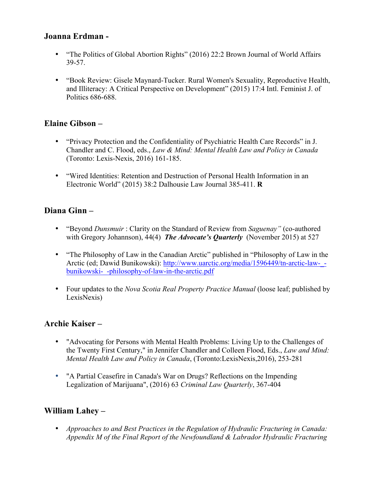#### **Joanna Erdman -**

- "The Politics of Global Abortion Rights" (2016) 22:2 Brown Journal of World Affairs 39-57.
- "Book Review: Gisele Maynard-Tucker. Rural Women's Sexuality, Reproductive Health, and Illiteracy: A Critical Perspective on Development" (2015) 17:4 Intl. Feminist J. of Politics 686-688.

### **Elaine Gibson –**

- "Privacy Protection and the Confidentiality of Psychiatric Health Care Records" in J. Chandler and C. Flood, eds., *Law & Mind: Mental Health Law and Policy in Canada* (Toronto: Lexis-Nexis, 2016) 161-185.
- "Wired Identities: Retention and Destruction of Personal Health Information in an Electronic World" (2015) 38:2 Dalhousie Law Journal 385-411. **R**

# **Diana Ginn –**

- "Beyond *Dunsmuir* : Clarity on the Standard of Review from *Saguenay"* (co-authored with Gregory Johannson), 44(4) *The Advocate's Quarterly* (November 2015) at 527
- "The Philosophy of Law in the Canadian Arctic" published in "Philosophy of Law in the Arctic (ed; Dawid Bunikowski): http://www.uarctic.org/media/1596449/tn-arctic-law-\_ bunikowski-\_-philosophy-of-law-in-the-arctic.pdf
- Four updates to the *Nova Scotia Real Property Practice Manual* (loose leaf; published by LexisNexis)

### **Archie Kaiser –**

- "Advocating for Persons with Mental Health Problems: Living Up to the Challenges of the Twenty First Century," in Jennifer Chandler and Colleen Flood, Eds., *Law and Mind: Mental Health Law and Policy in Canada*, (Toronto:LexisNexis,2016), 253-281
- "A Partial Ceasefire in Canada's War on Drugs? Reflections on the Impending Legalization of Marijuana", (2016) 63 *Criminal Law Quarterly*, 367-404

# **William Lahey –**

• *Approaches to and Best Practices in the Regulation of Hydraulic Fracturing in Canada: Appendix M of the Final Report of the Newfoundland & Labrador Hydraulic Fracturing*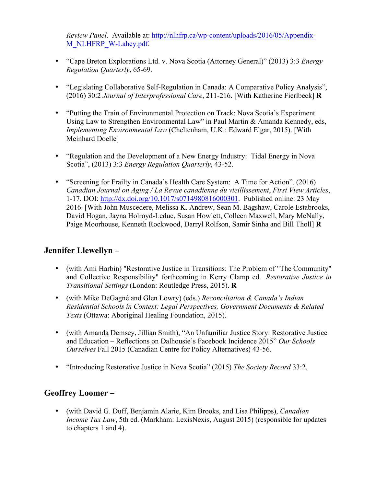*Review Panel*. Available at: http://nlhfrp.ca/wp-content/uploads/2016/05/Appendix-M\_NLHFRP\_W-Lahey.pdf.

- "Cape Breton Explorations Ltd. v. Nova Scotia (Attorney General)" (2013) 3:3 *Energy Regulation Quarterly*, 65-69.
- "Legislating Collaborative Self-Regulation in Canada: A Comparative Policy Analysis", (2016) 30:2 *Journal of Interprofessional Care*, 211-216. [With Katherine Fierlbeck] **R**
- "Putting the Train of Environmental Protection on Track: Nova Scotia's Experiment Using Law to Strengthen Environmental Law" in Paul Martin & Amanda Kennedy, eds, *Implementing Environmental Law* (Cheltenham, U.K.: Edward Elgar, 2015). [With Meinhard Doelle]
- "Regulation and the Development of a New Energy Industry: Tidal Energy in Nova Scotia", (2013) 3:3 *Energy Regulation Quarterly*, 43-52.
- "Screening for Frailty in Canada's Health Care System: A Time for Action"*,* (2016) *Canadian Journal on Aging / La Revue canadienne du vieillissement*, *First View Articles*, 1-17. DOI: http://dx.doi.org/10.1017/s0714980816000301. Published online: 23 May 2016. [With John Muscedere, Melissa K. Andrew, Sean M. Bagshaw, Carole Estabrooks, David Hogan, Jayna Holroyd-Leduc, Susan Howlett, Colleen Maxwell, Mary McNally, Paige Moorhouse, Kenneth Rockwood, Darryl Rolfson, Samir Sinha and Bill Tholl] **R**

### **Jennifer Llewellyn –**

- (with Ami Harbin) "Restorative Justice in Transitions: The Problem of "The Community" and Collective Responsibility" forthcoming in Kerry Clamp ed. *Restorative Justice in Transitional Settings* (London: Routledge Press, 2015). **R**
- (with Mike DeGagné and Glen Lowry) (eds.) *Reconciliation & Canada's Indian Residential Schools in Context: Legal Perspectives, Government Documents & Related Texts* (Ottawa: Aboriginal Healing Foundation, 2015).
- (with Amanda Demsey, Jillian Smith), "An Unfamiliar Justice Story: Restorative Justice and Education – Reflections on Dalhousie's Facebook Incidence 2015" *Our Schools Ourselves* Fall 2015 (Canadian Centre for Policy Alternatives) 43-56.
- "Introducing Restorative Justice in Nova Scotia" (2015) *The Society Record* 33:2.

# **Geoffrey Loomer –**

• (with David G. Duff, Benjamin Alarie, Kim Brooks, and Lisa Philipps), *Canadian Income Tax Law*, 5th ed. (Markham: LexisNexis, August 2015) (responsible for updates to chapters 1 and 4).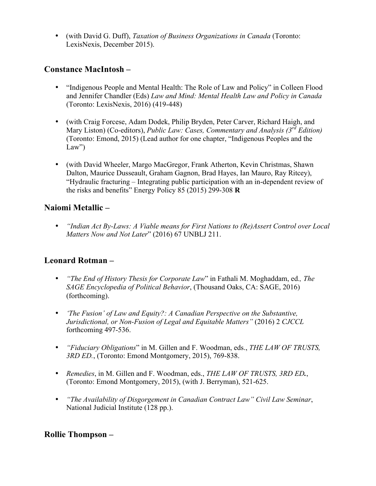• (with David G. Duff), *Taxation of Business Organizations in Canada* (Toronto: LexisNexis, December 2015).

### **Constance MacIntosh –**

- "Indigenous People and Mental Health: The Role of Law and Policy" in Colleen Flood and Jennifer Chandler (Eds) *Law and Mind: Mental Health Law and Policy in Canada*  (Toronto: LexisNexis, 2016) (419-448)
- (with Craig Forcese, Adam Dodek, Philip Bryden, Peter Carver, Richard Haigh, and Mary Liston) (Co-editors), *Public Law: Cases, Commentary and Analysis (3rd Edition)* (Toronto: Emond, 2015) (Lead author for one chapter, "Indigenous Peoples and the  $Law'$
- (with David Wheeler, Margo MacGregor, Frank Atherton, Kevin Christmas, Shawn Dalton, Maurice Dusseault, Graham Gagnon, Brad Hayes, Ian Mauro, Ray Ritcey), "Hydraulic fracturing – Integrating public participation with an in-dependent review of the risks and benefits" Energy Policy 85 (2015) 299-308 **R**

### **Naiomi Metallic –**

• *"Indian Act By-Laws: A Viable means for First Nations to (Re)Assert Control over Local Matters Now and Not Later*" (2016) 67 UNBLJ 211.

# **Leonard Rotman –**

- *"The End of History Thesis for Corporate Law*" in Fathali M. Moghaddam, ed.*, The SAGE Encyclopedia of Political Behavior*, (Thousand Oaks, CA: SAGE, 2016) (forthcoming).
- *'The Fusion' of Law and Equity?: A Canadian Perspective on the Substantive, Jurisdictional, or Non-Fusion of Legal and Equitable Matters"* (2016) 2 *CJCCL*  forthcoming 497-536.
- *"Fiduciary Obligations*" in M. Gillen and F. Woodman, eds., *THE LAW OF TRUSTS, 3RD ED.*, (Toronto: Emond Montgomery, 2015), 769-838.
- *Remedies*, in M. Gillen and F. Woodman, eds., *THE LAW OF TRUSTS, 3RD ED.*, (Toronto: Emond Montgomery, 2015), (with J. Berryman), 521-625.
- *"The Availability of Disgorgement in Canadian Contract Law" Civil Law Seminar*, National Judicial Institute (128 pp.).

### **Rollie Thompson –**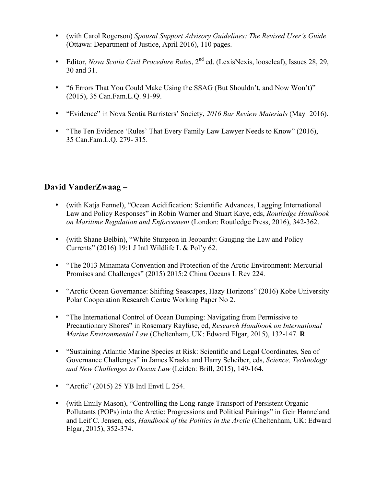- (with Carol Rogerson) *Spousal Support Advisory Guidelines: The Revised User's Guide* (Ottawa: Department of Justice, April 2016), 110 pages.
- Editor, *Nova Scotia Civil Procedure Rules*, 2<sup>nd</sup> ed. (LexisNexis, looseleaf), Issues 28, 29, 30 and 31.
- "6 Errors That You Could Make Using the SSAG (But Shouldn't, and Now Won't)" (2015), 35 Can.Fam.L.Q. 91-99.
- "Evidence" in Nova Scotia Barristers' Society, *2016 Bar Review Materials* (May 2016).
- "The Ten Evidence 'Rules' That Every Family Law Lawyer Needs to Know" (2016), 35 Can.Fam.L.Q. 279- 315.

# **David VanderZwaag –**

- (with Katja Fennel), "Ocean Acidification: Scientific Advances, Lagging International Law and Policy Responses" in Robin Warner and Stuart Kaye, eds, *Routledge Handbook on Maritime Regulation and Enforcement* (London: Routledge Press, 2016), 342-362.
- (with Shane Belbin), "White Sturgeon in Jeopardy: Gauging the Law and Policy Currents" (2016) 19:1 J Intl Wildlife L & Pol'y 62.
- "The 2013 Minamata Convention and Protection of the Arctic Environment: Mercurial Promises and Challenges" (2015) 2015:2 China Oceans L Rev 224.
- "Arctic Ocean Governance: Shifting Seascapes, Hazy Horizons" (2016) Kobe University Polar Cooperation Research Centre Working Paper No 2.
- "The International Control of Ocean Dumping: Navigating from Permissive to Precautionary Shores" in Rosemary Rayfuse, ed, *Research Handbook on International Marine Environmental Law* (Cheltenham, UK: Edward Elgar, 2015), 132-147. **R**
- "Sustaining Atlantic Marine Species at Risk: Scientific and Legal Coordinates, Sea of Governance Challenges" in James Kraska and Harry Scheiber, eds, *Science, Technology and New Challenges to Ocean Law* (Leiden: Brill, 2015), 149-164.
- "Arctic" (2015) 25 YB Intl Envtl L 254.
- (with Emily Mason), "Controlling the Long-range Transport of Persistent Organic Pollutants (POPs) into the Arctic: Progressions and Political Pairings" in Geir Hønneland and Leif C. Jensen, eds, *Handbook of the Politics in the Arctic* (Cheltenham, UK: Edward Elgar, 2015), 352-374.